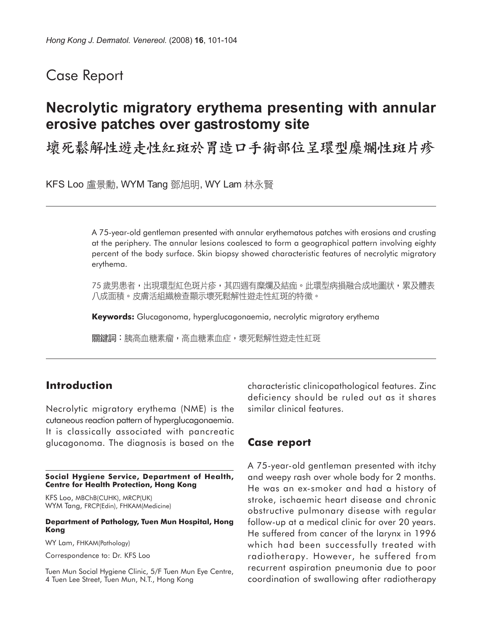## Case Report

# **Necrolytic migratory erythema presenting with annular erosive patches over gastrostomy site**

壞死鬆解性遊走性紅斑於胃造口手術部位呈環型糜爛性斑片疹

KFS Loo 盧景勳, WYM Tang 鄧旭明, WY Lam 林永賢

A 75-year-old gentleman presented with annular erythematous patches with erosions and crusting at the periphery. The annular lesions coalesced to form a geographical pattern involving eighty percent of the body surface. Skin biopsy showed characteristic features of necrolytic migratory erythema.

75 歲男患者,出現環型紅色斑片疹,其四週有糜爛及結痂。此環型病損融合成地圖狀,累及體表 八成面積。皮膚活組織檢查顯示壞死鬆解性遊走性紅斑的特徵。

**Keywords:** Glucagonoma, hyperglucagonaemia, necrolytic migratory erythema

關鍵詞:胰高血糖素瘤,高血糖素血症,壞死鬆解性遊走性紅斑

### **Introduction**

Necrolytic migratory erythema (NME) is the cutaneous reaction pattern of hyperglucagonaemia. It is classically associated with pancreatic glucagonoma. The diagnosis is based on the

#### **Social Hygiene Service, Department of Health, Centre for Health Protection, Hong Kong**

KFS Loo, MBChB(CUHK), MRCP(UK) WYM Tang, FRCP(Edin), FHKAM(Medicine)

#### **Department of Pathology, Tuen Mun Hospital, Hong Kong**

WY Lam, FHKAM(Pathology)

Correspondence to: Dr. KFS Loo

Tuen Mun Social Hygiene Clinic, 5/F Tuen Mun Eye Centre, 4 Tuen Lee Street, Tuen Mun, N.T., Hong Kong

characteristic clinicopathological features. Zinc deficiency should be ruled out as it shares similar clinical features.

### **Case report**

A 75-year-old gentleman presented with itchy and weepy rash over whole body for 2 months. He was an ex-smoker and had a history of stroke, ischaemic heart disease and chronic obstructive pulmonary disease with regular follow-up at a medical clinic for over 20 years. He suffered from cancer of the larynx in 1996 which had been successfully treated with radiotherapy. However, he suffered from recurrent aspiration pneumonia due to poor coordination of swallowing after radiotherapy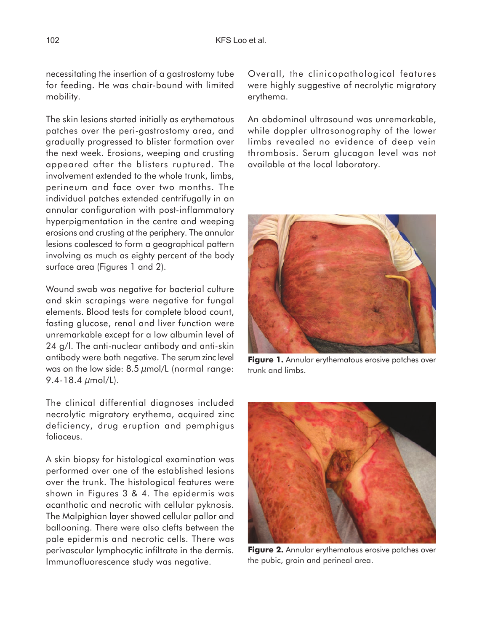necessitating the insertion of a gastrostomy tube for feeding. He was chair-bound with limited mobility.

The skin lesions started initially as erythematous patches over the peri-gastrostomy area, and gradually progressed to blister formation over the next week. Erosions, weeping and crusting appeared after the blisters ruptured. The involvement extended to the whole trunk, limbs, perineum and face over two months. The individual patches extended centrifugally in an annular configuration with post-inflammatory hyperpigmentation in the centre and weeping erosions and crusting at the periphery. The annular lesions coalesced to form a geographical pattern involving as much as eighty percent of the body surface area (Figures 1 and 2).

Wound swab was negative for bacterial culture and skin scrapings were negative for fungal elements. Blood tests for complete blood count, fasting glucose, renal and liver function were unremarkable except for a low albumin level of 24 g/l. The anti-nuclear antibody and anti-skin antibody were both negative. The serum zinc level was on the low side:  $8.5 \mu$ mol/L (normal range: 9.4-18.4 µmol/L).

The clinical differential diagnoses included necrolytic migratory erythema, acquired zinc deficiency, drug eruption and pemphigus foliaceus.

A skin biopsy for histological examination was performed over one of the established lesions over the trunk. The histological features were shown in Figures 3 & 4. The epidermis was acanthotic and necrotic with cellular pyknosis. The Malpighian layer showed cellular pallor and ballooning. There were also clefts between the pale epidermis and necrotic cells. There was perivascular lymphocytic infiltrate in the dermis. Immunofluorescence study was negative.

Overall, the clinicopathological features were highly suggestive of necrolytic migratory erythema.

An abdominal ultrasound was unremarkable, while doppler ultrasonography of the lower limbs revealed no evidence of deep vein thrombosis. Serum glucagon level was not available at the local laboratory.



**Figure 1.** Annular erythematous erosive patches over trunk and limbs.



**Figure 2.** Annular erythematous erosive patches over the pubic, groin and perineal area.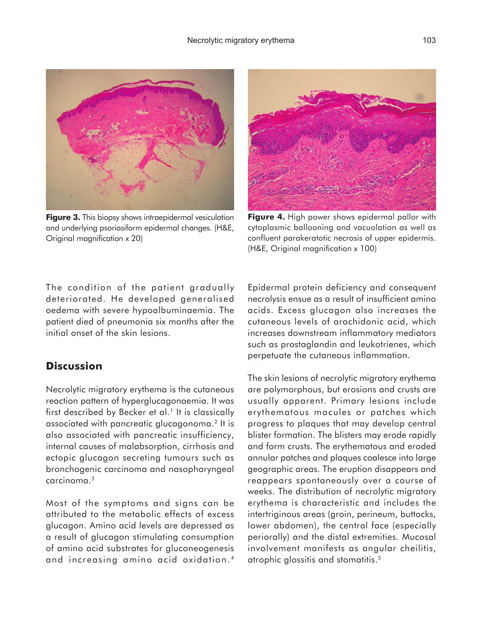

**Figure 3.** This biopsy shows intraepidermal vesiculation and underlying psoriasiform epidermal changes. (H&E, Original magnification x 20)



**Figure 4.** High power shows epidermal pallor with cytoplasmic ballooning and vacuolation as well as confluent parakeratotic necrosis of upper epidermis. (H&E, Original magnification x 100)

The condition of the patient gradually deteriorated. He developed generalised oedema with severe hypoalbuminaemia. The patient died of pneumonia six months after the initial onset of the skin lesions.

## **Discussion**

Necrolytic migratory erythema is the cutaneous reaction pattern of hyperglucagonaemia. It was first described by Becker et al.<sup>1</sup> It is classically associated with pancreatic glucagonoma.2 It is also associated with pancreatic insufficiency, internal causes of malabsorption, cirrhosis and ectopic glucagon secreting tumours such as bronchogenic carcinoma and nasopharyngeal carcinoma.3

Most of the symptoms and signs can be attributed to the metabolic effects of excess glucagon. Amino acid levels are depressed as a result of glucagon stimulating consumption of amino acid substrates for gluconeogenesis and increasing amino acid oxidation. <sup>4</sup> Epidermal protein deficiency and consequent necrolysis ensue as a result of insufficient amino acids. Excess glucagon also increases the cutaneous levels of arachidonic acid, which increases downstream inflammatory mediators such as prostaglandin and leukotrienes, which perpetuate the cutaneous inflammation.

The skin lesions of necrolytic migratory erythema are polymorphous, but erosions and crusts are usually apparent. Primary lesions include erythematous macules or patches which progress to plaques that may develop central blister formation. The blisters may erode rapidly and form crusts. The erythematous and eroded annular patches and plaques coalesce into large geographic areas. The eruption disappears and reappears spontaneously over a course of weeks. The distribution of necrolytic migratory erythema is characteristic and includes the intertriginous areas (groin, perineum, buttocks, lower abdomen), the central face (especially periorally) and the distal extremities. Mucosal involvement manifests as angular cheilitis, atrophic glossitis and stomatitis.<sup>5</sup>